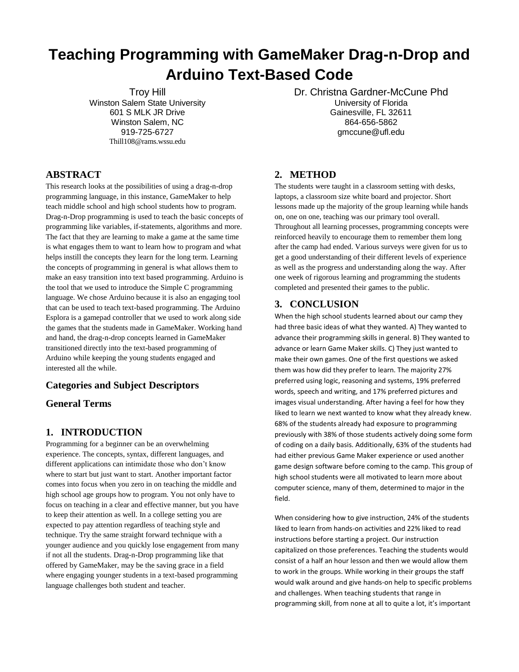# **Teaching Programming with GameMaker Drag-n-Drop and Arduino Text-Based Code**

Troy Hill Winston Salem State University 601 S MLK JR Drive Winston Salem, NC 919-725-6727 Thill108@rams.wssu.edu

## **ABSTRACT**

This research looks at the possibilities of using a drag-n-drop programming language, in this instance, GameMaker to help teach middle school and high school students how to program. Drag-n-Drop programming is used to teach the basic concepts of programming like variables, if-statements, algorithms and more. The fact that they are learning to make a game at the same time is what engages them to want to learn how to program and what helps instill the concepts they learn for the long term. Learning the concepts of programming in general is what allows them to make an easy transition into text based programming. Arduino is the tool that we used to introduce the Simple C programming language. We chose Arduino because it is also an engaging tool that can be used to teach text-based programming. The Arduino Esplora is a gamepad controller that we used to work along side the games that the students made in GameMaker. Working hand and hand, the drag-n-drop concepts learned in GameMaker transitioned directly into the text-based programming of Arduino while keeping the young students engaged and interested all the while.

### **Categories and Subject Descriptors**

**General Terms**

### **1. INTRODUCTION**

Programming for a beginner can be an overwhelming experience. The concepts, syntax, different languages, and different applications can intimidate those who don't know where to start but just want to start. Another important factor comes into focus when you zero in on teaching the middle and high school age groups how to program. You not only have to focus on teaching in a clear and effective manner, but you have to keep their attention as well. In a college setting you are expected to pay attention regardless of teaching style and technique. Try the same straight forward technique with a younger audience and you quickly lose engagement from many if not all the students. Drag-n-Drop programming like that offered by GameMaker, may be the saving grace in a field where engaging younger students in a text-based programming language challenges both student and teacher.

Dr. Christna Gardner-McCune Phd University of Florida Gainesville, FL 32611 864-656-5862 gmccune@ufl.edu

### **2. METHOD**

The students were taught in a classroom setting with desks, laptops, a classroom size white board and projector. Short lessons made up the majority of the group learning while hands on, one on one, teaching was our primary tool overall. Throughout all learning processes, programming concepts were reinforced heavily to encourage them to remember them long after the camp had ended. Various surveys were given for us to get a good understanding of their different levels of experience as well as the progress and understanding along the way. After one week of rigorous learning and programming the students completed and presented their games to the public.

#### **3. CONCLUSION**

When the high school students learned about our camp they had three basic ideas of what they wanted. A) They wanted to advance their programming skills in general. B) They wanted to advance or learn Game Maker skills. C) They just wanted to make their own games. One of the first questions we asked them was how did they prefer to learn. The majority 27% preferred using logic, reasoning and systems, 19% preferred words, speech and writing, and 17% preferred pictures and images visual understanding. After having a feel for how they liked to learn we next wanted to know what they already knew. 68% of the students already had exposure to programming previously with 38% of those students actively doing some form of coding on a daily basis. Additionally, 63% of the students had had either previous Game Maker experience or used another game design software before coming to the camp. This group of high school students were all motivated to learn more about computer science, many of them, determined to major in the field.

When considering how to give instruction, 24% of the students liked to learn from hands-on activities and 22% liked to read instructions before starting a project. Our instruction capitalized on those preferences. Teaching the students would consist of a half an hour lesson and then we would allow them to work in the groups. While working in their groups the staff would walk around and give hands-on help to specific problems and challenges. When teaching students that range in programming skill, from none at all to quite a lot, it's important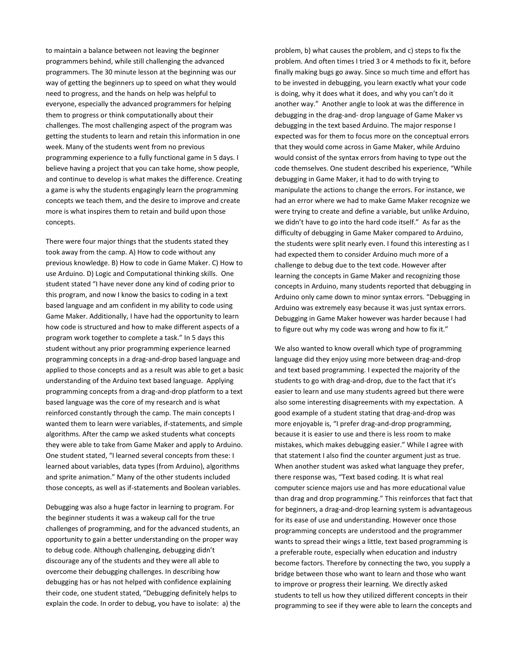to maintain a balance between not leaving the beginner programmers behind, while still challenging the advanced programmers. The 30 minute lesson at the beginning was our way of getting the beginners up to speed on what they would need to progress, and the hands on help was helpful to everyone, especially the advanced programmers for helping them to progress or think computationally about their challenges. The most challenging aspect of the program was getting the students to learn and retain this information in one week. Many of the students went from no previous programming experience to a fully functional game in 5 days. I believe having a project that you can take home, show people, and continue to develop is what makes the difference. Creating a game is why the students engagingly learn the programming concepts we teach them, and the desire to improve and create more is what inspires them to retain and build upon those concepts.

There were four major things that the students stated they took away from the camp. A) How to code without any previous knowledge. B) How to code in Game Maker. C) How to use Arduino. D) Logic and Computational thinking skills. One student stated "I have never done any kind of coding prior to this program, and now I know the basics to coding in a text based language and am confident in my ability to code using Game Maker. Additionally, I have had the opportunity to learn how code is structured and how to make different aspects of a program work together to complete a task." In 5 days this student without any prior programming experience learned programming concepts in a drag-and-drop based language and applied to those concepts and as a result was able to get a basic understanding of the Arduino text based language. Applying programming concepts from a drag-and-drop platform to a text based language was the core of my research and is what reinforced constantly through the camp. The main concepts I wanted them to learn were variables, if-statements, and simple algorithms. After the camp we asked students what concepts they were able to take from Game Maker and apply to Arduino. One student stated, "I learned several concepts from these: I learned about variables, data types (from Arduino), algorithms and sprite animation." Many of the other students included those concepts, as well as if-statements and Boolean variables.

Debugging was also a huge factor in learning to program. For the beginner students it was a wakeup call for the true challenges of programming, and for the advanced students, an opportunity to gain a better understanding on the proper way to debug code. Although challenging, debugging didn't discourage any of the students and they were all able to overcome their debugging challenges. In describing how debugging has or has not helped with confidence explaining their code, one student stated, "Debugging definitely helps to explain the code. In order to debug, you have to isolate: a) the problem, b) what causes the problem, and c) steps to fix the problem. And often times I tried 3 or 4 methods to fix it, before finally making bugs go away. Since so much time and effort has to be invested in debugging, you learn exactly what your code is doing, why it does what it does, and why you can't do it another way." Another angle to look at was the difference in debugging in the drag-and- drop language of Game Maker vs debugging in the text based Arduino. The major response I expected was for them to focus more on the conceptual errors that they would come across in Game Maker, while Arduino would consist of the syntax errors from having to type out the code themselves. One student described his experience, "While debugging in Game Maker, it had to do with trying to manipulate the actions to change the errors. For instance, we had an error where we had to make Game Maker recognize we were trying to create and define a variable, but unlike Arduino, we didn't have to go into the hard code itself." As far as the difficulty of debugging in Game Maker compared to Arduino, the students were split nearly even. I found this interesting as I had expected them to consider Arduino much more of a challenge to debug due to the text code. However after learning the concepts in Game Maker and recognizing those concepts in Arduino, many students reported that debugging in Arduino only came down to minor syntax errors. "Debugging in Arduino was extremely easy because it was just syntax errors. Debugging in Game Maker however was harder because I had to figure out why my code was wrong and how to fix it."

We also wanted to know overall which type of programming language did they enjoy using more between drag-and-drop and text based programming. I expected the majority of the students to go with drag-and-drop, due to the fact that it's easier to learn and use many students agreed but there were also some interesting disagreements with my expectation. A good example of a student stating that drag-and-drop was more enjoyable is, "I prefer drag-and-drop programming, because it is easier to use and there is less room to make mistakes, which makes debugging easier." While I agree with that statement I also find the counter argument just as true. When another student was asked what language they prefer, there response was, "Text based coding. It is what real computer science majors use and has more educational value than drag and drop programming." This reinforces that fact that for beginners, a drag-and-drop learning system is advantageous for its ease of use and understanding. However once those programming concepts are understood and the programmer wants to spread their wings a little, text based programming is a preferable route, especially when education and industry become factors. Therefore by connecting the two, you supply a bridge between those who want to learn and those who want to improve or progress their learning. We directly asked students to tell us how they utilized different concepts in their programming to see if they were able to learn the concepts and